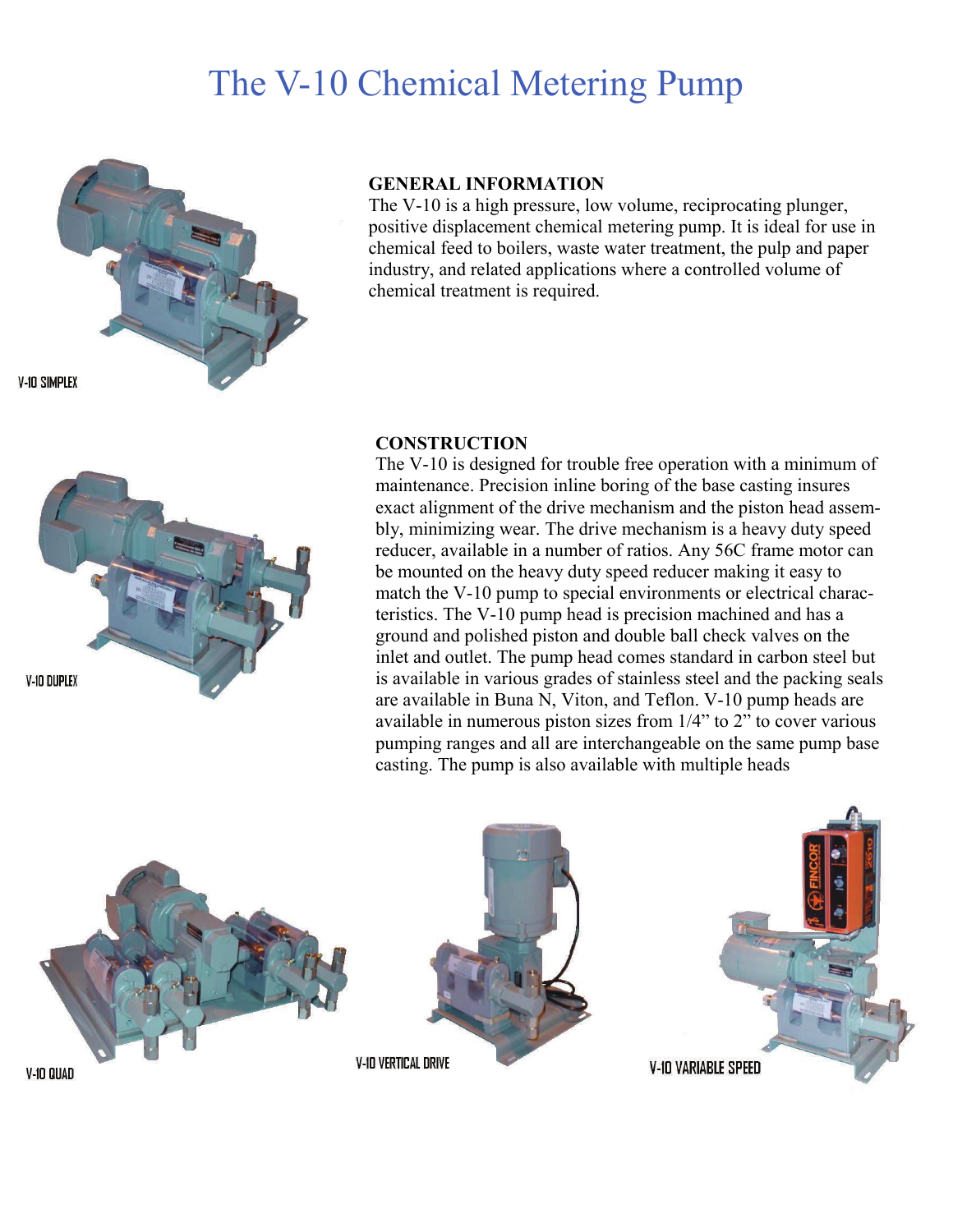# The V-10 Chemical Metering Pump



**GENERAL INFORMATION** 

The V-10 is a high pressure, low volume, reciprocating plunger, positive displacement chemical metering pump. It is ideal for use in chemical feed to boilers, waste water treatment, the pulp and paper industry, and related applications where a controlled volume of chemical treatment is required.

**V-10 DUPLEX** 

# **CONSTRUCTION**

The V-10 is designed for trouble free operation with a minimum of maintenance. Precision inline boring of the base casting insures exact alignment of the drive mechanism and the piston head assembly, minimizing wear. The drive mechanism is a heavy duty speed reducer, available in a number of ratios. Any 56C frame motor can be mounted on the heavy duty speed reducer making it easy to match the V-10 pump to special environments or electrical characteristics. The V-10 pump head is precision machined and has a ground and polished piston and double ball check valves on the inlet and outlet. The pump head comes standard in carbon steel but is available in various grades of stainless steel and the packing seals are available in Buna N, Viton, and Teflon. V-10 pump heads are available in numerous piston sizes from 1/4" to 2" to cover various pumping ranges and all are interchangeable on the same pump base casting. The pump is also available with multiple heads